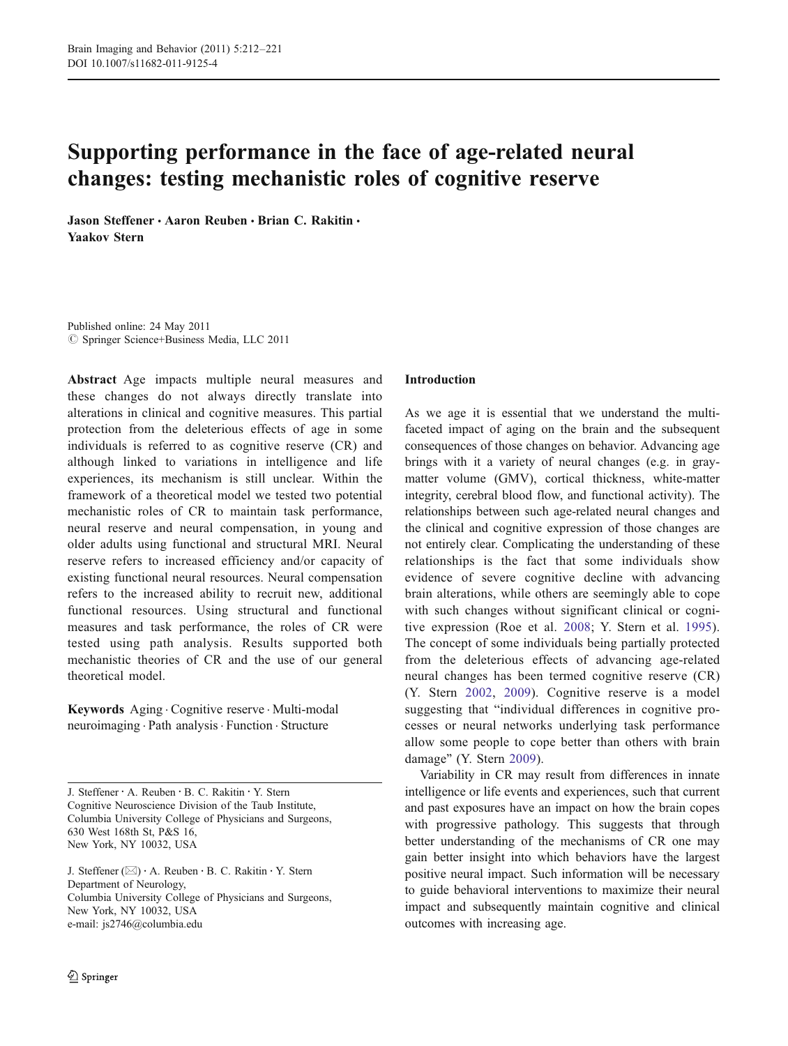# Supporting performance in the face of age-related neural changes: testing mechanistic roles of cognitive reserve

Jason Steffener · Aaron Reuben · Brian C. Rakitin · Yaakov Stern

Published online: 24 May 2011  $©$  Springer Science+Business Media, LLC 2011

Abstract Age impacts multiple neural measures and these changes do not always directly translate into alterations in clinical and cognitive measures. This partial protection from the deleterious effects of age in some individuals is referred to as cognitive reserve (CR) and although linked to variations in intelligence and life experiences, its mechanism is still unclear. Within the framework of a theoretical model we tested two potential mechanistic roles of CR to maintain task performance, neural reserve and neural compensation, in young and older adults using functional and structural MRI. Neural reserve refers to increased efficiency and/or capacity of existing functional neural resources. Neural compensation refers to the increased ability to recruit new, additional functional resources. Using structural and functional measures and task performance, the roles of CR were tested using path analysis. Results supported both mechanistic theories of CR and the use of our general theoretical model.

Keywords Aging . Cognitive reserve . Multi-modal neuroimaging . Path analysis. Function . Structure

J. Steffener : A. Reuben : B. C. Rakitin : Y. Stern Cognitive Neuroscience Division of the Taub Institute, Columbia University College of Physicians and Surgeons, 630 West 168th St, P&S 16, New York, NY 10032, USA

J. Steffener  $(\boxtimes) \cdot A$ . Reuben  $\cdot B$ . C. Rakitin  $\cdot Y$ . Stern Department of Neurology, Columbia University College of Physicians and Surgeons, New York, NY 10032, USA e-mail: js2746@columbia.edu

# Introduction

As we age it is essential that we understand the multifaceted impact of aging on the brain and the subsequent consequences of those changes on behavior. Advancing age brings with it a variety of neural changes (e.g. in graymatter volume (GMV), cortical thickness, white-matter integrity, cerebral blood flow, and functional activity). The relationships between such age-related neural changes and the clinical and cognitive expression of those changes are not entirely clear. Complicating the understanding of these relationships is the fact that some individuals show evidence of severe cognitive decline with advancing brain alterations, while others are seemingly able to cope with such changes without significant clinical or cognitive expression (Roe et al. [2008;](#page-9-0) Y. Stern et al. [1995](#page-9-0)). The concept of some individuals being partially protected from the deleterious effects of advancing age-related neural changes has been termed cognitive reserve (CR) (Y. Stern [2002](#page-9-0), [2009\)](#page-9-0). Cognitive reserve is a model suggesting that "individual differences in cognitive processes or neural networks underlying task performance allow some people to cope better than others with brain damage" (Y. Stern [2009\)](#page-9-0).

Variability in CR may result from differences in innate intelligence or life events and experiences, such that current and past exposures have an impact on how the brain copes with progressive pathology. This suggests that through better understanding of the mechanisms of CR one may gain better insight into which behaviors have the largest positive neural impact. Such information will be necessary to guide behavioral interventions to maximize their neural impact and subsequently maintain cognitive and clinical outcomes with increasing age.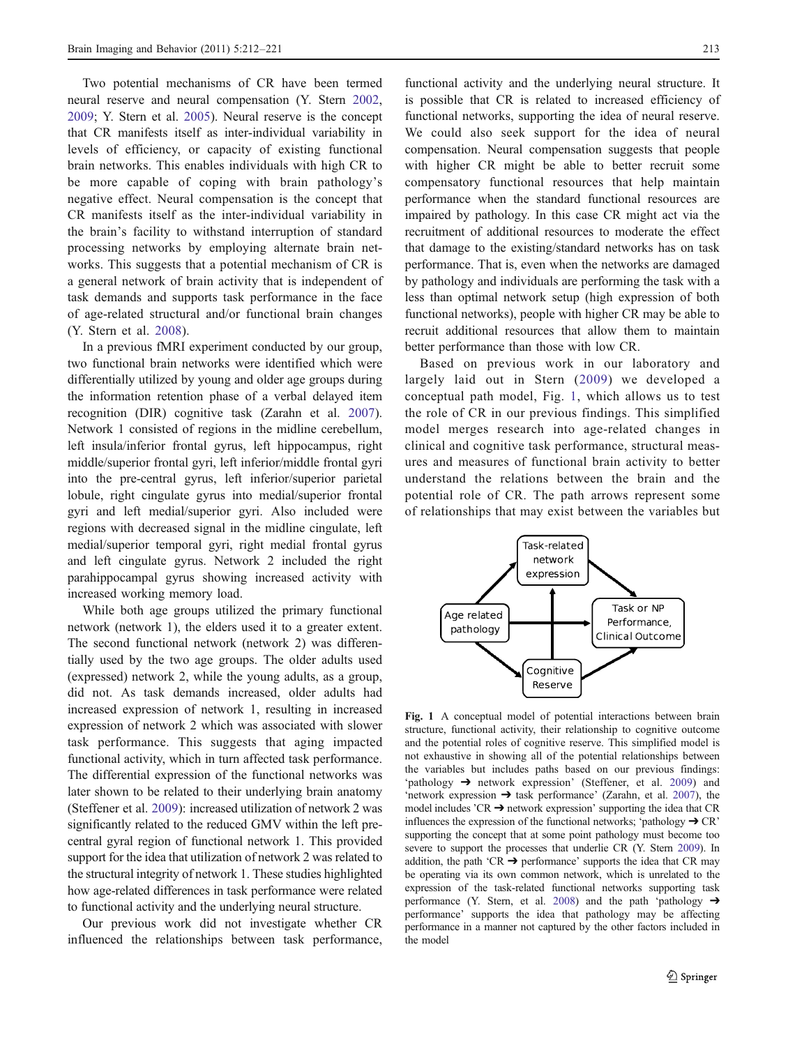<span id="page-1-0"></span>Two potential mechanisms of CR have been termed neural reserve and neural compensation (Y. Stern [2002,](#page-9-0) [2009;](#page-9-0) Y. Stern et al. [2005](#page-9-0)). Neural reserve is the concept that CR manifests itself as inter-individual variability in levels of efficiency, or capacity of existing functional brain networks. This enables individuals with high CR to be more capable of coping with brain pathology's negative effect. Neural compensation is the concept that CR manifests itself as the inter-individual variability in the brain's facility to withstand interruption of standard processing networks by employing alternate brain networks. This suggests that a potential mechanism of CR is a general network of brain activity that is independent of task demands and supports task performance in the face of age-related structural and/or functional brain changes (Y. Stern et al. [2008\)](#page-9-0).

In a previous fMRI experiment conducted by our group, two functional brain networks were identified which were differentially utilized by young and older age groups during the information retention phase of a verbal delayed item recognition (DIR) cognitive task (Zarahn et al. [2007](#page-9-0)). Network 1 consisted of regions in the midline cerebellum, left insula/inferior frontal gyrus, left hippocampus, right middle/superior frontal gyri, left inferior/middle frontal gyri into the pre-central gyrus, left inferior/superior parietal lobule, right cingulate gyrus into medial/superior frontal gyri and left medial/superior gyri. Also included were regions with decreased signal in the midline cingulate, left medial/superior temporal gyri, right medial frontal gyrus and left cingulate gyrus. Network 2 included the right parahippocampal gyrus showing increased activity with increased working memory load.

While both age groups utilized the primary functional network (network 1), the elders used it to a greater extent. The second functional network (network 2) was differentially used by the two age groups. The older adults used (expressed) network 2, while the young adults, as a group, did not. As task demands increased, older adults had increased expression of network 1, resulting in increased expression of network 2 which was associated with slower task performance. This suggests that aging impacted functional activity, which in turn affected task performance. The differential expression of the functional networks was later shown to be related to their underlying brain anatomy (Steffener et al. [2009\)](#page-9-0): increased utilization of network 2 was significantly related to the reduced GMV within the left precentral gyral region of functional network 1. This provided support for the idea that utilization of network 2 was related to the structural integrity of network 1. These studies highlighted how age-related differences in task performance were related to functional activity and the underlying neural structure.

Our previous work did not investigate whether CR influenced the relationships between task performance,

functional activity and the underlying neural structure. It is possible that CR is related to increased efficiency of functional networks, supporting the idea of neural reserve. We could also seek support for the idea of neural compensation. Neural compensation suggests that people with higher CR might be able to better recruit some compensatory functional resources that help maintain performance when the standard functional resources are impaired by pathology. In this case CR might act via the recruitment of additional resources to moderate the effect that damage to the existing/standard networks has on task performance. That is, even when the networks are damaged by pathology and individuals are performing the task with a less than optimal network setup (high expression of both functional networks), people with higher CR may be able to recruit additional resources that allow them to maintain better performance than those with low CR.

Based on previous work in our laboratory and largely laid out in Stern ([2009\)](#page-9-0) we developed a conceptual path model, Fig. 1, which allows us to test the role of CR in our previous findings. This simplified model merges research into age-related changes in clinical and cognitive task performance, structural measures and measures of functional brain activity to better understand the relations between the brain and the potential role of CR. The path arrows represent some of relationships that may exist between the variables but



Fig. 1 A conceptual model of potential interactions between brain structure, functional activity, their relationship to cognitive outcome and the potential roles of cognitive reserve. This simplified model is not exhaustive in showing all of the potential relationships between the variables but includes paths based on our previous findings: 'pathology ➔ network expression' (Steffener, et al. [2009\)](#page-9-0) and 'network expression  $\rightarrow$  task performance' (Zarahn, et al. [2007\)](#page-9-0), the model includes  $'CR \rightarrow$  network expression' supporting the idea that  $CR$ influences the expression of the functional networks; 'pathology  $\rightarrow$  CR' supporting the concept that at some point pathology must become too severe to support the processes that underlie CR (Y. Stern [2009](#page-9-0)). In addition, the path 'CR  $\rightarrow$  performance' supports the idea that CR may be operating via its own common network, which is unrelated to the expression of the task-related functional networks supporting task performance (Y. Stern, et al. [2008\)](#page-9-0) and the path 'pathology  $\rightarrow$ performance' supports the idea that pathology may be affecting performance in a manner not captured by the other factors included in the model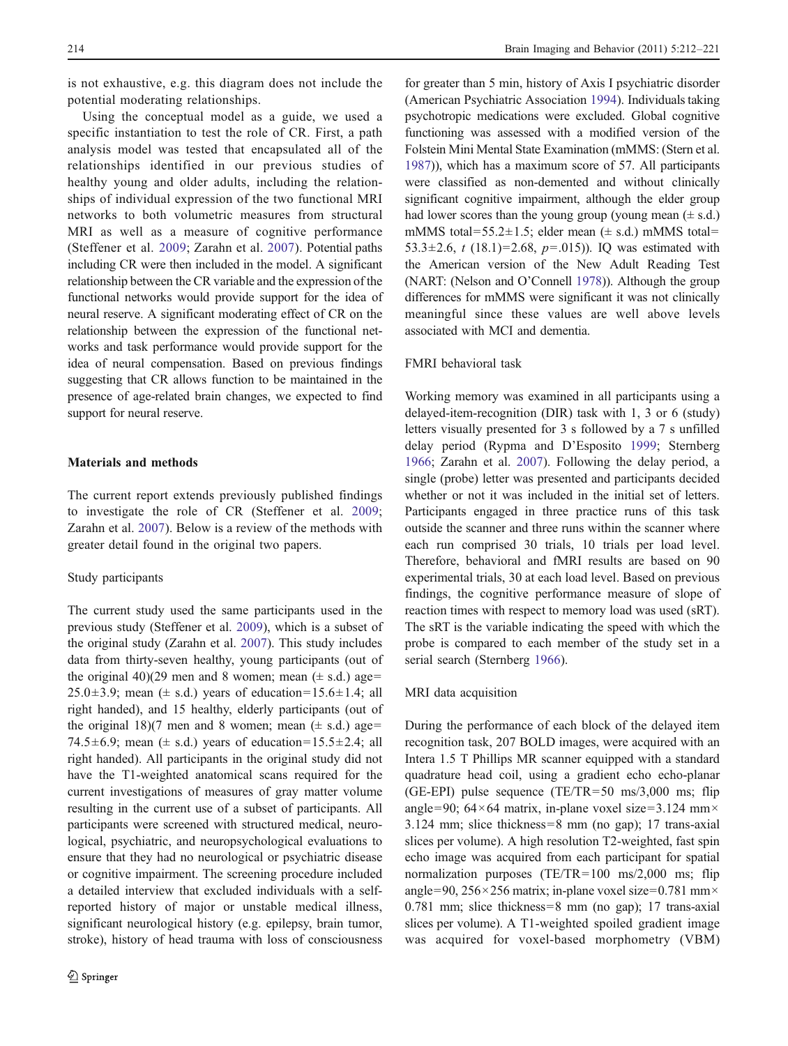is not exhaustive, e.g. this diagram does not include the potential moderating relationships.

Using the conceptual model as a guide, we used a specific instantiation to test the role of CR. First, a path analysis model was tested that encapsulated all of the relationships identified in our previous studies of healthy young and older adults, including the relationships of individual expression of the two functional MRI networks to both volumetric measures from structural MRI as well as a measure of cognitive performance (Steffener et al. [2009;](#page-9-0) Zarahn et al. [2007\)](#page-9-0). Potential paths including CR were then included in the model. A significant relationship between the CR variable and the expression of the functional networks would provide support for the idea of neural reserve. A significant moderating effect of CR on the relationship between the expression of the functional networks and task performance would provide support for the idea of neural compensation. Based on previous findings suggesting that CR allows function to be maintained in the presence of age-related brain changes, we expected to find support for neural reserve.

# Materials and methods

The current report extends previously published findings to investigate the role of CR (Steffener et al. [2009](#page-9-0); Zarahn et al. [2007\)](#page-9-0). Below is a review of the methods with greater detail found in the original two papers.

# Study participants

The current study used the same participants used in the previous study (Steffener et al. [2009\)](#page-9-0), which is a subset of the original study (Zarahn et al. [2007\)](#page-9-0). This study includes data from thirty-seven healthy, young participants (out of the original 40)(29 men and 8 women; mean  $(\pm s.d.)$  age= 25.0 $\pm$ 3.9; mean ( $\pm$  s.d.) years of education=15.6 $\pm$ 1.4; all right handed), and 15 healthy, elderly participants (out of the original 18)(7 men and 8 women; mean  $(\pm s.d.)$  age= 74.5 $\pm$ 6.9; mean ( $\pm$  s.d.) years of education=15.5 $\pm$ 2.4; all right handed). All participants in the original study did not have the T1-weighted anatomical scans required for the current investigations of measures of gray matter volume resulting in the current use of a subset of participants. All participants were screened with structured medical, neurological, psychiatric, and neuropsychological evaluations to ensure that they had no neurological or psychiatric disease or cognitive impairment. The screening procedure included a detailed interview that excluded individuals with a selfreported history of major or unstable medical illness, significant neurological history (e.g. epilepsy, brain tumor, stroke), history of head trauma with loss of consciousness

for greater than 5 min, history of Axis I psychiatric disorder (American Psychiatric Association [1994](#page-8-0)). Individuals taking psychotropic medications were excluded. Global cognitive functioning was assessed with a modified version of the Folstein Mini Mental State Examination (mMMS: (Stern et al. [1987\)](#page-9-0)), which has a maximum score of 57. All participants were classified as non-demented and without clinically significant cognitive impairment, although the elder group had lower scores than the young group (young mean  $(\pm s.d.)$ mMMS total=55.2 $\pm$ 1.5; elder mean ( $\pm$  s.d.) mMMS total= 53.3 $\pm$ 2.6, t (18.1)=2.68, p=.015)). IQ was estimated with the American version of the New Adult Reading Test (NART: (Nelson and O'Connell [1978](#page-9-0))). Although the group differences for mMMS were significant it was not clinically meaningful since these values are well above levels associated with MCI and dementia.

# FMRI behavioral task

Working memory was examined in all participants using a delayed-item-recognition (DIR) task with 1, 3 or 6 (study) letters visually presented for 3 s followed by a 7 s unfilled delay period (Rypma and D'Esposito [1999;](#page-9-0) Sternberg [1966](#page-9-0); Zarahn et al. [2007\)](#page-9-0). Following the delay period, a single (probe) letter was presented and participants decided whether or not it was included in the initial set of letters. Participants engaged in three practice runs of this task outside the scanner and three runs within the scanner where each run comprised 30 trials, 10 trials per load level. Therefore, behavioral and fMRI results are based on 90 experimental trials, 30 at each load level. Based on previous findings, the cognitive performance measure of slope of reaction times with respect to memory load was used (sRT). The sRT is the variable indicating the speed with which the probe is compared to each member of the study set in a serial search (Sternberg [1966\)](#page-9-0).

#### MRI data acquisition

During the performance of each block of the delayed item recognition task, 207 BOLD images, were acquired with an Intera 1.5 T Phillips MR scanner equipped with a standard quadrature head coil, using a gradient echo echo-planar (GE-EPI) pulse sequence (TE/TR=50 ms/3,000 ms; flip angle=90;  $64 \times 64$  matrix, in-plane voxel size=3.124 mm $\times$ 3.124 mm; slice thickness=8 mm (no gap); 17 trans-axial slices per volume). A high resolution T2-weighted, fast spin echo image was acquired from each participant for spatial normalization purposes (TE/TR=100 ms/2,000 ms; flip angle=90,  $256 \times 256$  matrix; in-plane voxel size=0.781 mm $\times$ 0.781 mm; slice thickness=8 mm (no gap); 17 trans-axial slices per volume). A T1-weighted spoiled gradient image was acquired for voxel-based morphometry (VBM)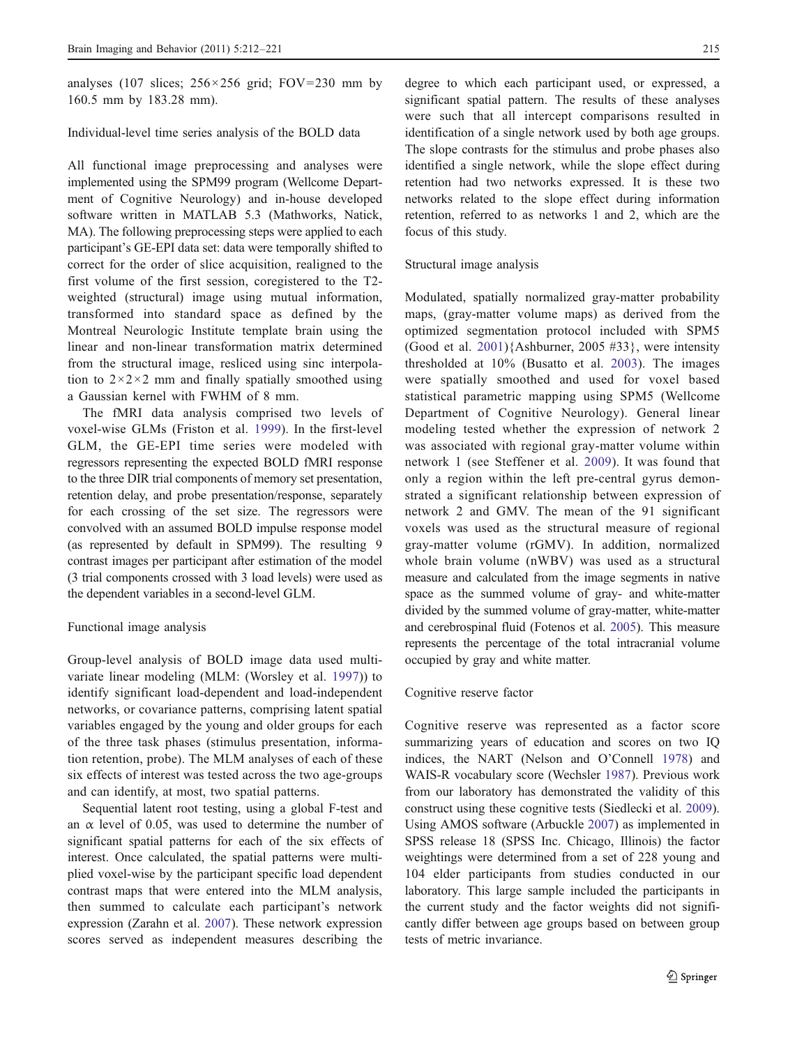analyses (107 slices;  $256 \times 256$  grid; FOV=230 mm by 160.5 mm by 183.28 mm).

Individual-level time series analysis of the BOLD data

All functional image preprocessing and analyses were implemented using the SPM99 program (Wellcome Department of Cognitive Neurology) and in-house developed software written in MATLAB 5.3 (Mathworks, Natick, MA). The following preprocessing steps were applied to each participant's GE-EPI data set: data were temporally shifted to correct for the order of slice acquisition, realigned to the first volume of the first session, coregistered to the T2 weighted (structural) image using mutual information, transformed into standard space as defined by the Montreal Neurologic Institute template brain using the linear and non-linear transformation matrix determined from the structural image, resliced using sinc interpolation to  $2 \times 2 \times 2$  mm and finally spatially smoothed using a Gaussian kernel with FWHM of 8 mm.

The fMRI data analysis comprised two levels of voxel-wise GLMs (Friston et al. [1999\)](#page-8-0). In the first-level GLM, the GE-EPI time series were modeled with regressors representing the expected BOLD fMRI response to the three DIR trial components of memory set presentation, retention delay, and probe presentation/response, separately for each crossing of the set size. The regressors were convolved with an assumed BOLD impulse response model (as represented by default in SPM99). The resulting 9 contrast images per participant after estimation of the model (3 trial components crossed with 3 load levels) were used as the dependent variables in a second-level GLM.

#### Functional image analysis

Group-level analysis of BOLD image data used multivariate linear modeling (MLM: (Worsley et al. [1997](#page-9-0))) to identify significant load-dependent and load-independent networks, or covariance patterns, comprising latent spatial variables engaged by the young and older groups for each of the three task phases (stimulus presentation, information retention, probe). The MLM analyses of each of these six effects of interest was tested across the two age-groups and can identify, at most, two spatial patterns.

Sequential latent root testing, using a global F-test and an  $\alpha$  level of 0.05, was used to determine the number of significant spatial patterns for each of the six effects of interest. Once calculated, the spatial patterns were multiplied voxel-wise by the participant specific load dependent contrast maps that were entered into the MLM analysis, then summed to calculate each participant's network expression (Zarahn et al. [2007\)](#page-9-0). These network expression scores served as independent measures describing the

degree to which each participant used, or expressed, a significant spatial pattern. The results of these analyses were such that all intercept comparisons resulted in identification of a single network used by both age groups. The slope contrasts for the stimulus and probe phases also identified a single network, while the slope effect during retention had two networks expressed. It is these two networks related to the slope effect during information retention, referred to as networks 1 and 2, which are the focus of this study.

#### Structural image analysis

Modulated, spatially normalized gray-matter probability maps, (gray-matter volume maps) as derived from the optimized segmentation protocol included with SPM5 (Good et al.  $2001$ ){Ashburner,  $2005$  #33}, were intensity thresholded at 10% (Busatto et al. [2003](#page-8-0)). The images were spatially smoothed and used for voxel based statistical parametric mapping using SPM5 (Wellcome Department of Cognitive Neurology). General linear modeling tested whether the expression of network 2 was associated with regional gray-matter volume within network 1 (see Steffener et al. [2009\)](#page-9-0). It was found that only a region within the left pre-central gyrus demonstrated a significant relationship between expression of network 2 and GMV. The mean of the 91 significant voxels was used as the structural measure of regional gray-matter volume (rGMV). In addition, normalized whole brain volume (nWBV) was used as a structural measure and calculated from the image segments in native space as the summed volume of gray- and white-matter divided by the summed volume of gray-matter, white-matter and cerebrospinal fluid (Fotenos et al. [2005\)](#page-8-0). This measure represents the percentage of the total intracranial volume occupied by gray and white matter.

#### Cognitive reserve factor

Cognitive reserve was represented as a factor score summarizing years of education and scores on two IQ indices, the NART (Nelson and O'Connell [1978](#page-9-0)) and WAIS-R vocabulary score (Wechsler [1987](#page-9-0)). Previous work from our laboratory has demonstrated the validity of this construct using these cognitive tests (Siedlecki et al. [2009\)](#page-9-0). Using AMOS software (Arbuckle [2007](#page-8-0)) as implemented in SPSS release 18 (SPSS Inc. Chicago, Illinois) the factor weightings were determined from a set of 228 young and 104 elder participants from studies conducted in our laboratory. This large sample included the participants in the current study and the factor weights did not significantly differ between age groups based on between group tests of metric invariance.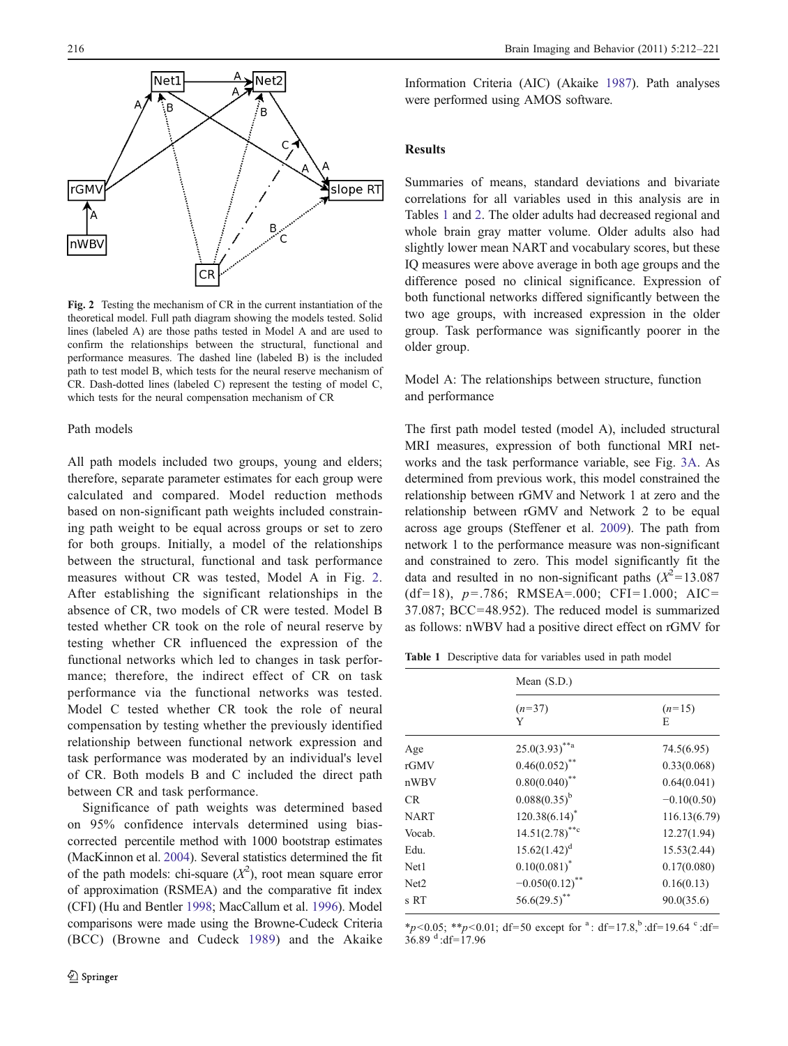

Fig. 2 Testing the mechanism of CR in the current instantiation of the theoretical model. Full path diagram showing the models tested. Solid lines (labeled A) are those paths tested in Model A and are used to confirm the relationships between the structural, functional and performance measures. The dashed line (labeled B) is the included path to test model B, which tests for the neural reserve mechanism of CR. Dash-dotted lines (labeled C) represent the testing of model C, which tests for the neural compensation mechanism of CR

# Path models

All path models included two groups, young and elders; therefore, separate parameter estimates for each group were calculated and compared. Model reduction methods based on non-significant path weights included constraining path weight to be equal across groups or set to zero for both groups. Initially, a model of the relationships between the structural, functional and task performance measures without CR was tested, Model A in Fig. 2. After establishing the significant relationships in the absence of CR, two models of CR were tested. Model B tested whether CR took on the role of neural reserve by testing whether CR influenced the expression of the functional networks which led to changes in task performance; therefore, the indirect effect of CR on task performance via the functional networks was tested. Model C tested whether CR took the role of neural compensation by testing whether the previously identified relationship between functional network expression and task performance was moderated by an individual's level of CR. Both models B and C included the direct path between CR and task performance.

Significance of path weights was determined based on 95% confidence intervals determined using biascorrected percentile method with 1000 bootstrap estimates (MacKinnon et al. [2004](#page-9-0)). Several statistics determined the fit of the path models: chi-square  $(X^2)$ , root mean square error of approximation (RSMEA) and the comparative fit index (CFI) (Hu and Bentler [1998](#page-9-0); MacCallum et al. [1996](#page-9-0)). Model comparisons were made using the Browne-Cudeck Criteria (BCC) (Browne and Cudeck [1989\)](#page-8-0) and the Akaike

Information Criteria (AIC) (Akaike [1987\)](#page-8-0). Path analyses were performed using AMOS software.

# Results

Summaries of means, standard deviations and bivariate correlations for all variables used in this analysis are in Tables 1 and [2](#page-5-0). The older adults had decreased regional and whole brain gray matter volume. Older adults also had slightly lower mean NART and vocabulary scores, but these IQ measures were above average in both age groups and the difference posed no clinical significance. Expression of both functional networks differed significantly between the two age groups, with increased expression in the older group. Task performance was significantly poorer in the older group.

Model A: The relationships between structure, function and performance

The first path model tested (model A), included structural MRI measures, expression of both functional MRI networks and the task performance variable, see Fig. [3A](#page-6-0). As determined from previous work, this model constrained the relationship between rGMV and Network 1 at zero and the relationship between rGMV and Network 2 to be equal across age groups (Steffener et al. [2009\)](#page-9-0). The path from network 1 to the performance measure was non-significant and constrained to zero. This model significantly fit the data and resulted in no non-significant paths  $(X^2=13.087)$ (df=18), p=.786; RMSEA=.000; CFI=1.000; AIC= 37.087; BCC=48.952). The reduced model is summarized as follows: nWBV had a positive direct effect on rGMV for

Table 1 Descriptive data for variables used in path model

|        | Mean $(S.D.)$                |               |  |  |
|--------|------------------------------|---------------|--|--|
|        | $(n=37)$<br>Y                | $(n=15)$<br>E |  |  |
| Age    | $25.0(3.93)$ <sup>**a</sup>  | 74.5(6.95)    |  |  |
| rGMV   | $0.46(0.052)$ **             | 0.33(0.068)   |  |  |
| nWBV   | $0.80(0.040)$ **             | 0.64(0.041)   |  |  |
| CR     | $0.088(0.35)^{b}$            | $-0.10(0.50)$ |  |  |
| NART   | $120.38(6.14)^*$             | 116.13(6.79)  |  |  |
| Vocab. | $14.51(2.78)$ <sup>**c</sup> | 12.27(1.94)   |  |  |
| Edu.   | $15.62(1.42)^d$              | 15.53(2.44)   |  |  |
| Net1   | $0.10(0.081)^*$              | 0.17(0.080)   |  |  |
| Net2   | $-0.050(0.12)^{**}$          | 0.16(0.13)    |  |  |
| s RT   | $56.6(29.5)^{**}$            | 90.0(35.6)    |  |  |
|        |                              |               |  |  |

\*p<0.05; \*\*p<0.01; df=50 except for <sup>a</sup>: df=17.8,<sup>b</sup>:df=19.64 <sup>c</sup>:df=  $36.89$ <sup>d</sup>:df=17.96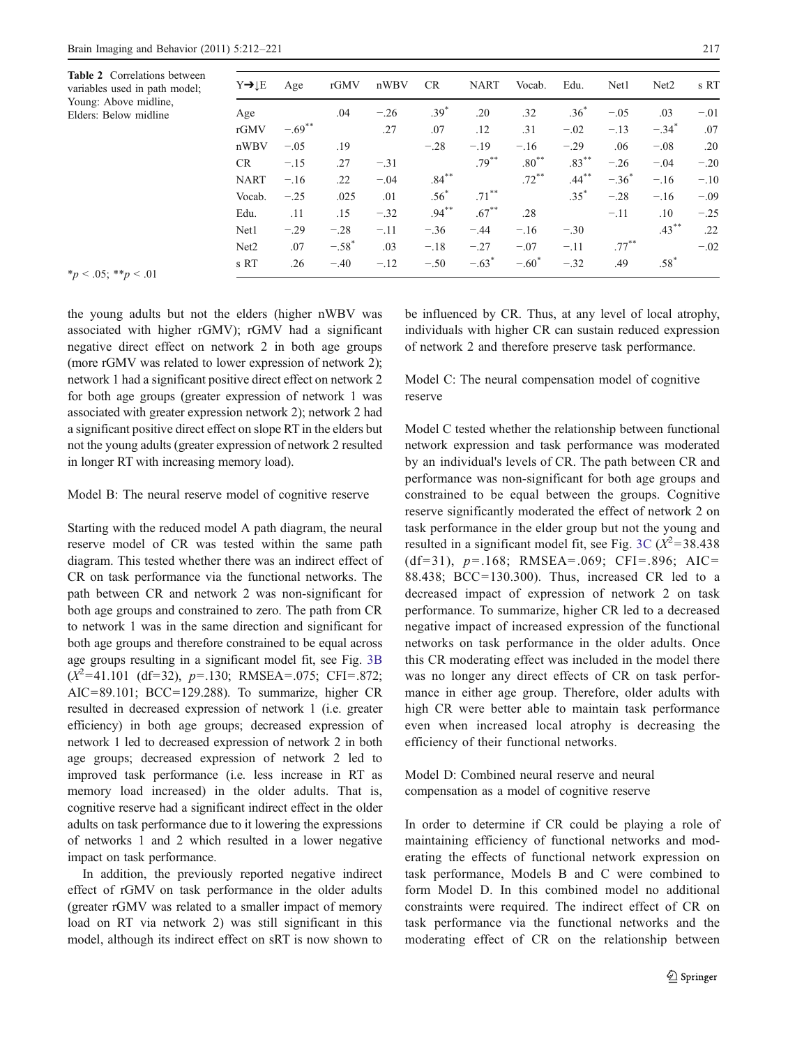<span id="page-5-0"></span>Table 2 Correlations bety variables used in path mo Young: Above midline, Elders: Below midline

| Y→lE             | Age       | rGMV     | nWBV   | CR.      | <b>NART</b>         | Vocab.   | Edu.     | Net1     | Net <sub>2</sub>    | s RT   |
|------------------|-----------|----------|--------|----------|---------------------|----------|----------|----------|---------------------|--------|
| Age              |           | .04      | $-.26$ | $.39*$   | .20                 | .32      | $.36*$   | $-.05$   | .03                 | $-.01$ |
| rGMV             | $-.69$ ** |          | .27    | .07      | .12                 | .31      | $-.02$   | $-.13$   | $-.34$ <sup>*</sup> | .07    |
| nWBV             | $-.05$    | .19      |        | $-.28$   | $-.19$              | $-.16$   | $-.29$   | .06      | $-.08$              | .20    |
| CR.              | $-.15$    | .27      | $-.31$ |          | $.79***$            | $.80***$ | $.83***$ | $-.26$   | $-.04$              | $-.20$ |
| <b>NART</b>      | $-.16$    | .22      | $-.04$ | $.84***$ |                     | $.72***$ | $.44***$ | $-.36^*$ | $-.16$              | $-.10$ |
| Vocab.           | $-.25$    | .025     | .01    | $.56*$   | $.71***$            |          | $.35*$   | $-.28$   | $-.16$              | $-.09$ |
| Edu.             | .11       | .15      | $-.32$ | $.94***$ | $.67***$            | .28      |          | $-.11$   | .10                 | $-.25$ |
| Net1             | $-.29$    | $-.28$   | $-.11$ | $-.36$   | $-.44$              | $-.16$   | $-.30$   |          | $.43***$            | .22    |
| Net <sub>2</sub> | .07       | $-.58^*$ | .03    | $-.18$   | $-.27$              | $-.07$   | $-.11$   | $.77***$ |                     | $-.02$ |
| s RT             | .26       | $-.40$   | $-.12$ | $-.50$   | $-.63$ <sup>*</sup> | $-.60*$  | $-.32$   | .49      | $.58^*$             |        |

 $*_p$  < .05;  $*_p$  < .01

the young adults but not the elders (higher nWBV was associated with higher rGMV); rGMV had a significant negative direct effect on network 2 in both age groups (more rGMV was related to lower expression of network 2); network 1 had a significant positive direct effect on network 2 for both age groups (greater expression of network 1 was associated with greater expression network 2); network 2 had a significant positive direct effect on slope RT in the elders but not the young adults (greater expression of network 2 resulted in longer RT with increasing memory load).

#### Model B: The neural reserve model of cognitive reserve

Starting with the reduced model A path diagram, the neural reserve model of CR was tested within the same path diagram. This tested whether there was an indirect effect of CR on task performance via the functional networks. The path between CR and network 2 was non-significant for both age groups and constrained to zero. The path from CR to network 1 was in the same direction and significant for both age groups and therefore constrained to be equal across age groups resulting in a significant model fit, see Fig. [3B](#page-6-0)  $(X^2=41.101$  (df=32),  $p=.130$ ; RMSEA=.075; CFI=.872; AIC=89.101; BCC=129.288). To summarize, higher CR resulted in decreased expression of network 1 (i.e. greater efficiency) in both age groups; decreased expression of network 1 led to decreased expression of network 2 in both age groups; decreased expression of network 2 led to improved task performance (i.e. less increase in RT as memory load increased) in the older adults. That is, cognitive reserve had a significant indirect effect in the older adults on task performance due to it lowering the expressions of networks 1 and 2 which resulted in a lower negative impact on task performance.

In addition, the previously reported negative indirect effect of rGMV on task performance in the older adults (greater rGMV was related to a smaller impact of memory load on RT via network 2) was still significant in this model, although its indirect effect on sRT is now shown to be influenced by CR. Thus, at any level of local atrophy, individuals with higher CR can sustain reduced expression of network 2 and therefore preserve task performance.

Model C: The neural compensation model of cognitive reserve

Model C tested whether the relationship between functional network expression and task performance was moderated by an individual's levels of CR. The path between CR and performance was non-significant for both age groups and constrained to be equal between the groups. Cognitive reserve significantly moderated the effect of network 2 on task performance in the elder group but not the young and resulted in a significant model fit, see Fig. [3C](#page-6-0)  $(X^2=38.438)$ (df=31),  $p=.168$ ; RMSEA=.069; CFI=.896; AIC= 88.438; BCC=130.300). Thus, increased CR led to a decreased impact of expression of network 2 on task performance. To summarize, higher CR led to a decreased negative impact of increased expression of the functional networks on task performance in the older adults. Once this CR moderating effect was included in the model there was no longer any direct effects of CR on task performance in either age group. Therefore, older adults with high CR were better able to maintain task performance even when increased local atrophy is decreasing the efficiency of their functional networks.

Model D: Combined neural reserve and neural compensation as a model of cognitive reserve

In order to determine if CR could be playing a role of maintaining efficiency of functional networks and moderating the effects of functional network expression on task performance, Models B and C were combined to form Model D. In this combined model no additional constraints were required. The indirect effect of CR on task performance via the functional networks and the moderating effect of CR on the relationship between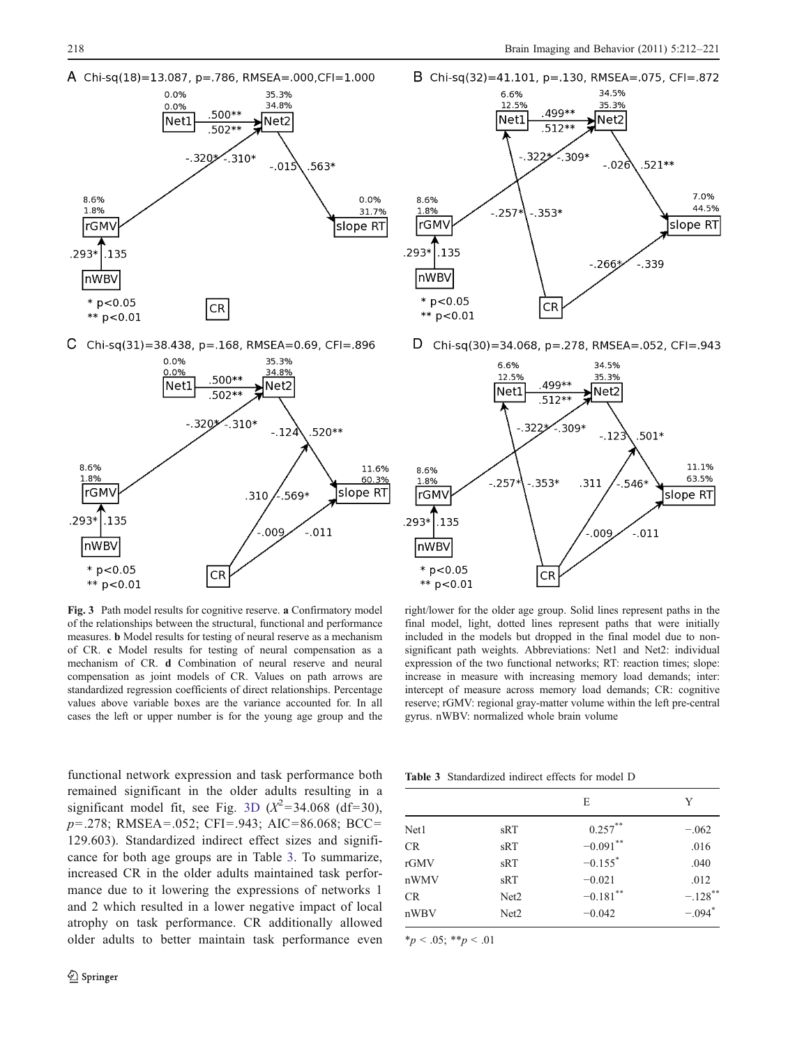<span id="page-6-0"></span>

 $\mathsf{C}$ Chi-sq(31)=38.438, p=.168, RMSEA=0.69, CFI=.896



Fig. 3 Path model results for cognitive reserve. a Confirmatory model of the relationships between the structural, functional and performance measures. b Model results for testing of neural reserve as a mechanism of CR. c Model results for testing of neural compensation as a mechanism of CR. d Combination of neural reserve and neural compensation as joint models of CR. Values on path arrows are standardized regression coefficients of direct relationships. Percentage values above variable boxes are the variance accounted for. In all cases the left or upper number is for the young age group and the



D Chi-sq(30)=34.068, p=.278, RMSEA=.052, CFI=.943



right/lower for the older age group. Solid lines represent paths in the final model, light, dotted lines represent paths that were initially included in the models but dropped in the final model due to nonsignificant path weights. Abbreviations: Net1 and Net2: individual expression of the two functional networks; RT: reaction times; slope: increase in measure with increasing memory load demands; inter: intercept of measure across memory load demands; CR: cognitive reserve; rGMV: regional gray-matter volume within the left pre-central gyrus. nWBV: normalized whole brain volume

functional network expression and task performance both remained significant in the older adults resulting in a significant model fit, see Fig. 3D  $(X^2=34.068 \text{ (df=30)})$ , p=.278; RMSEA=.052; CFI=.943; AIC=86.068; BCC= 129.603). Standardized indirect effect sizes and significance for both age groups are in Table 3. To summarize, increased CR in the older adults maintained task performance due to it lowering the expressions of networks 1 and 2 which resulted in a lower negative impact of local atrophy on task performance. CR additionally allowed older adults to better maintain task performance even

Table 3 Standardized indirect effects for model D

|           |                  | E                     | Y                     |  |
|-----------|------------------|-----------------------|-----------------------|--|
| Net1      | sRT              | $0.257***$            | $-.062$               |  |
| <b>CR</b> | sRT              | $-0.091$ **           | .016                  |  |
| rGMV      | sRT              | $-0.155$ <sup>*</sup> | .040                  |  |
| nWMV      | sRT              | $-0.021$              | .012                  |  |
| CR        | Net <sub>2</sub> | $-0.181$ **           | $-.128$ <sup>**</sup> |  |
| nWBV      | Net <sub>2</sub> | $-0.042$              | $-.094$ <sup>*</sup>  |  |
|           |                  |                       |                       |  |

 $*_p$  < .05;  $*_p$  < .01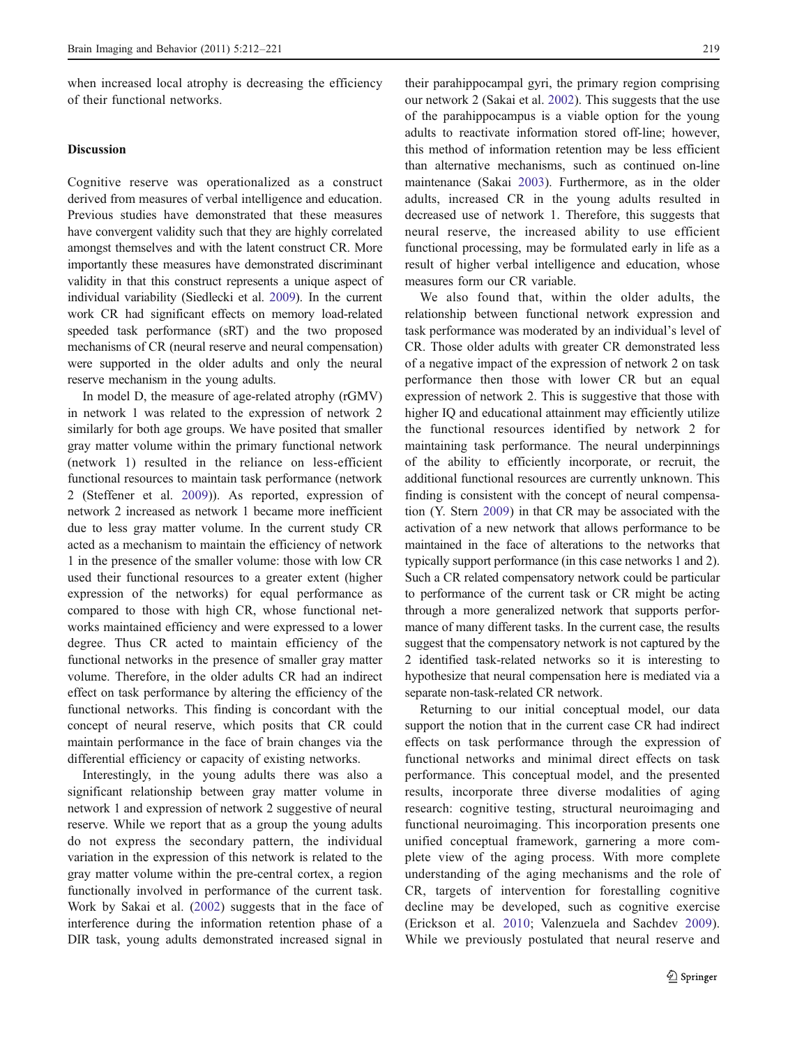when increased local atrophy is decreasing the efficiency of their functional networks.

# Discussion

Cognitive reserve was operationalized as a construct derived from measures of verbal intelligence and education. Previous studies have demonstrated that these measures have convergent validity such that they are highly correlated amongst themselves and with the latent construct CR. More importantly these measures have demonstrated discriminant validity in that this construct represents a unique aspect of individual variability (Siedlecki et al. [2009](#page-9-0)). In the current work CR had significant effects on memory load-related speeded task performance (sRT) and the two proposed mechanisms of CR (neural reserve and neural compensation) were supported in the older adults and only the neural reserve mechanism in the young adults.

In model D, the measure of age-related atrophy (rGMV) in network 1 was related to the expression of network 2 similarly for both age groups. We have posited that smaller gray matter volume within the primary functional network (network 1) resulted in the reliance on less-efficient functional resources to maintain task performance (network 2 (Steffener et al. [2009](#page-9-0))). As reported, expression of network 2 increased as network 1 became more inefficient due to less gray matter volume. In the current study CR acted as a mechanism to maintain the efficiency of network 1 in the presence of the smaller volume: those with low CR used their functional resources to a greater extent (higher expression of the networks) for equal performance as compared to those with high CR, whose functional networks maintained efficiency and were expressed to a lower degree. Thus CR acted to maintain efficiency of the functional networks in the presence of smaller gray matter volume. Therefore, in the older adults CR had an indirect effect on task performance by altering the efficiency of the functional networks. This finding is concordant with the concept of neural reserve, which posits that CR could maintain performance in the face of brain changes via the differential efficiency or capacity of existing networks.

Interestingly, in the young adults there was also a significant relationship between gray matter volume in network 1 and expression of network 2 suggestive of neural reserve. While we report that as a group the young adults do not express the secondary pattern, the individual variation in the expression of this network is related to the gray matter volume within the pre-central cortex, a region functionally involved in performance of the current task. Work by Sakai et al. ([2002\)](#page-9-0) suggests that in the face of interference during the information retention phase of a DIR task, young adults demonstrated increased signal in

their parahippocampal gyri, the primary region comprising our network 2 (Sakai et al. [2002](#page-9-0)). This suggests that the use of the parahippocampus is a viable option for the young adults to reactivate information stored off-line; however, this method of information retention may be less efficient than alternative mechanisms, such as continued on-line maintenance (Sakai [2003\)](#page-9-0). Furthermore, as in the older adults, increased CR in the young adults resulted in decreased use of network 1. Therefore, this suggests that neural reserve, the increased ability to use efficient functional processing, may be formulated early in life as a result of higher verbal intelligence and education, whose measures form our CR variable.

We also found that, within the older adults, the relationship between functional network expression and task performance was moderated by an individual's level of CR. Those older adults with greater CR demonstrated less of a negative impact of the expression of network 2 on task performance then those with lower CR but an equal expression of network 2. This is suggestive that those with higher IQ and educational attainment may efficiently utilize the functional resources identified by network 2 for maintaining task performance. The neural underpinnings of the ability to efficiently incorporate, or recruit, the additional functional resources are currently unknown. This finding is consistent with the concept of neural compensation (Y. Stern [2009](#page-9-0)) in that CR may be associated with the activation of a new network that allows performance to be maintained in the face of alterations to the networks that typically support performance (in this case networks 1 and 2). Such a CR related compensatory network could be particular to performance of the current task or CR might be acting through a more generalized network that supports performance of many different tasks. In the current case, the results suggest that the compensatory network is not captured by the 2 identified task-related networks so it is interesting to hypothesize that neural compensation here is mediated via a separate non-task-related CR network.

Returning to our initial conceptual model, our data support the notion that in the current case CR had indirect effects on task performance through the expression of functional networks and minimal direct effects on task performance. This conceptual model, and the presented results, incorporate three diverse modalities of aging research: cognitive testing, structural neuroimaging and functional neuroimaging. This incorporation presents one unified conceptual framework, garnering a more complete view of the aging process. With more complete understanding of the aging mechanisms and the role of CR, targets of intervention for forestalling cognitive decline may be developed, such as cognitive exercise (Erickson et al. [2010;](#page-8-0) Valenzuela and Sachdev [2009](#page-9-0)). While we previously postulated that neural reserve and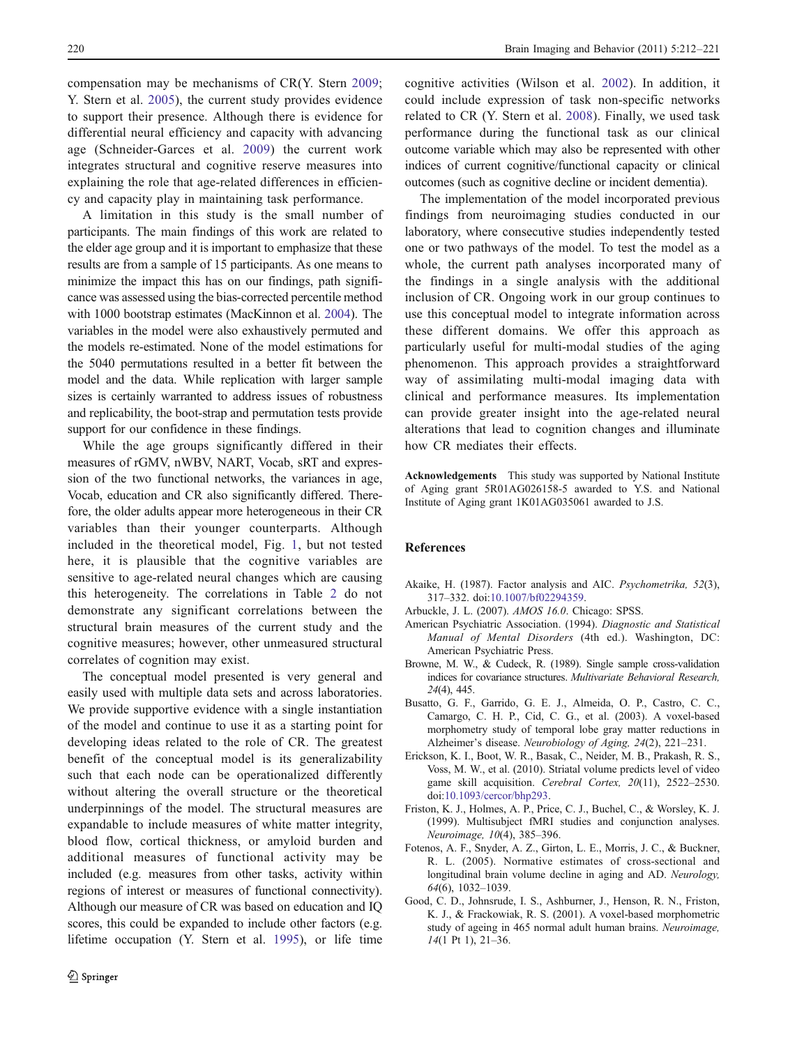<span id="page-8-0"></span>compensation may be mechanisms of CR(Y. Stern [2009](#page-9-0); Y. Stern et al. [2005](#page-9-0)), the current study provides evidence to support their presence. Although there is evidence for differential neural efficiency and capacity with advancing age (Schneider-Garces et al. [2009](#page-9-0)) the current work integrates structural and cognitive reserve measures into explaining the role that age-related differences in efficiency and capacity play in maintaining task performance.

A limitation in this study is the small number of participants. The main findings of this work are related to the elder age group and it is important to emphasize that these results are from a sample of 15 participants. As one means to minimize the impact this has on our findings, path significance was assessed using the bias-corrected percentile method with 1000 bootstrap estimates (MacKinnon et al. [2004\)](#page-9-0). The variables in the model were also exhaustively permuted and the models re-estimated. None of the model estimations for the 5040 permutations resulted in a better fit between the model and the data. While replication with larger sample sizes is certainly warranted to address issues of robustness and replicability, the boot-strap and permutation tests provide support for our confidence in these findings.

While the age groups significantly differed in their measures of rGMV, nWBV, NART, Vocab, sRT and expression of the two functional networks, the variances in age, Vocab, education and CR also significantly differed. Therefore, the older adults appear more heterogeneous in their CR variables than their younger counterparts. Although included in the theoretical model, Fig. [1](#page-1-0), but not tested here, it is plausible that the cognitive variables are sensitive to age-related neural changes which are causing this heterogeneity. The correlations in Table [2](#page-5-0) do not demonstrate any significant correlations between the structural brain measures of the current study and the cognitive measures; however, other unmeasured structural correlates of cognition may exist.

The conceptual model presented is very general and easily used with multiple data sets and across laboratories. We provide supportive evidence with a single instantiation of the model and continue to use it as a starting point for developing ideas related to the role of CR. The greatest benefit of the conceptual model is its generalizability such that each node can be operationalized differently without altering the overall structure or the theoretical underpinnings of the model. The structural measures are expandable to include measures of white matter integrity, blood flow, cortical thickness, or amyloid burden and additional measures of functional activity may be included (e.g. measures from other tasks, activity within regions of interest or measures of functional connectivity). Although our measure of CR was based on education and IQ scores, this could be expanded to include other factors (e.g. lifetime occupation (Y. Stern et al. [1995](#page-9-0)), or life time

cognitive activities (Wilson et al. [2002](#page-9-0)). In addition, it could include expression of task non-specific networks related to CR (Y. Stern et al. [2008](#page-9-0)). Finally, we used task performance during the functional task as our clinical outcome variable which may also be represented with other indices of current cognitive/functional capacity or clinical outcomes (such as cognitive decline or incident dementia).

The implementation of the model incorporated previous findings from neuroimaging studies conducted in our laboratory, where consecutive studies independently tested one or two pathways of the model. To test the model as a whole, the current path analyses incorporated many of the findings in a single analysis with the additional inclusion of CR. Ongoing work in our group continues to use this conceptual model to integrate information across these different domains. We offer this approach as particularly useful for multi-modal studies of the aging phenomenon. This approach provides a straightforward way of assimilating multi-modal imaging data with clinical and performance measures. Its implementation can provide greater insight into the age-related neural alterations that lead to cognition changes and illuminate how CR mediates their effects.

Acknowledgements This study was supported by National Institute of Aging grant 5R01AG026158-5 awarded to Y.S. and National Institute of Aging grant 1K01AG035061 awarded to J.S.

# References

- Akaike, H. (1987). Factor analysis and AIC. Psychometrika, 52(3), 317–332. doi:[10.1007/bf02294359](http://dx.doi.org/10.1007/bf02294359).
- Arbuckle, J. L. (2007). AMOS 16.0. Chicago: SPSS.
- American Psychiatric Association. (1994). Diagnostic and Statistical Manual of Mental Disorders (4th ed.). Washington, DC: American Psychiatric Press.
- Browne, M. W., & Cudeck, R. (1989). Single sample cross-validation indices for covariance structures. Multivariate Behavioral Research, 24(4), 445.
- Busatto, G. F., Garrido, G. E. J., Almeida, O. P., Castro, C. C., Camargo, C. H. P., Cid, C. G., et al. (2003). A voxel-based morphometry study of temporal lobe gray matter reductions in Alzheimer's disease. Neurobiology of Aging, 24(2), 221–231.
- Erickson, K. I., Boot, W. R., Basak, C., Neider, M. B., Prakash, R. S., Voss, M. W., et al. (2010). Striatal volume predicts level of video game skill acquisition. Cerebral Cortex, 20(11), 2522–2530. doi[:10.1093/cercor/bhp293](http://dx.doi.org/10.1093/cercor/bhp293).
- Friston, K. J., Holmes, A. P., Price, C. J., Buchel, C., & Worsley, K. J. (1999). Multisubject fMRI studies and conjunction analyses. Neuroimage, 10(4), 385–396.
- Fotenos, A. F., Snyder, A. Z., Girton, L. E., Morris, J. C., & Buckner, R. L. (2005). Normative estimates of cross-sectional and longitudinal brain volume decline in aging and AD. Neurology, 64(6), 1032–1039.
- Good, C. D., Johnsrude, I. S., Ashburner, J., Henson, R. N., Friston, K. J., & Frackowiak, R. S. (2001). A voxel-based morphometric study of ageing in 465 normal adult human brains. Neuroimage, 14(1 Pt 1), 21–36.